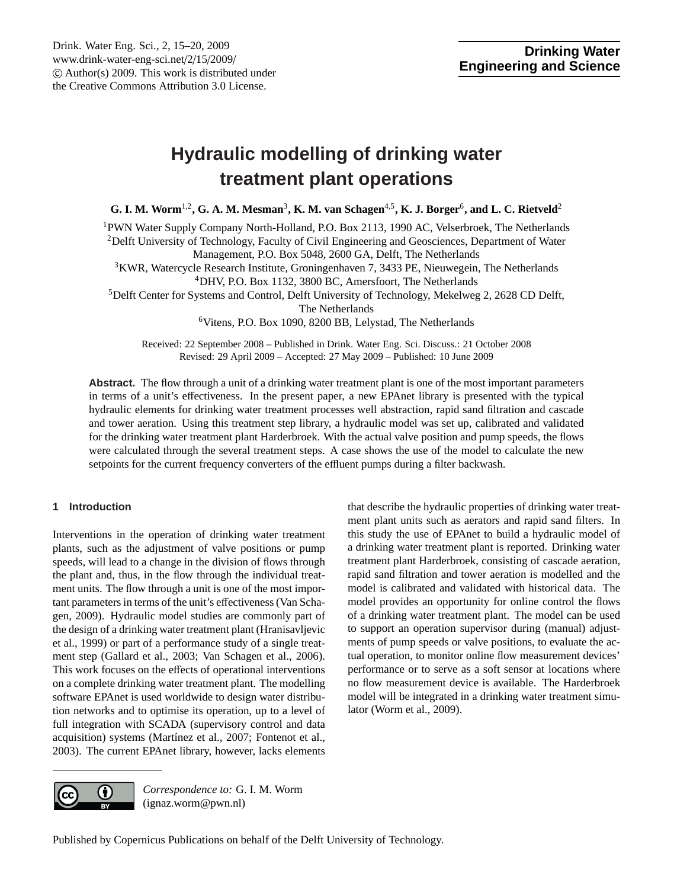# <span id="page-0-0"></span>**Hydraulic modelling of drinking water treatment plant operations**

**G. I. M. Worm**1,2**, G. A. M. Mesman**<sup>3</sup> **, K. M. van Schagen**4,5**, K. J. Borger**<sup>6</sup> **, and L. C. Rietveld**<sup>2</sup>

<sup>1</sup>PWN Water Supply Company North-Holland, P.O. Box 2113, 1990 AC, Velserbroek, The Netherlands <sup>2</sup>Delft University of Technology, Faculty of Civil Engineering and Geosciences, Department of Water

Management, P.O. Box 5048, 2600 GA, Delft, The Netherlands

<sup>3</sup>KWR, Watercycle Research Institute, Groningenhaven 7, 3433 PE, Nieuwegein, The Netherlands <sup>4</sup>DHV, P.O. Box 1132, 3800 BC, Amersfoort, The Netherlands

<sup>5</sup>Delft Center for Systems and Control, Delft University of Technology, Mekelweg 2, 2628 CD Delft,

The Netherlands

<sup>6</sup>Vitens, P.O. Box 1090, 8200 BB, Lelystad, The Netherlands

Received: 22 September 2008 – Published in Drink. Water Eng. Sci. Discuss.: 21 October 2008 Revised: 29 April 2009 – Accepted: 27 May 2009 – Published: 10 June 2009

**Abstract.** The flow through a unit of a drinking water treatment plant is one of the most important parameters in terms of a unit's effectiveness. In the present paper, a new EPAnet library is presented with the typical hydraulic elements for drinking water treatment processes well abstraction, rapid sand filtration and cascade and tower aeration. Using this treatment step library, a hydraulic model was set up, calibrated and validated for the drinking water treatment plant Harderbroek. With the actual valve position and pump speeds, the flows were calculated through the several treatment steps. A case shows the use of the model to calculate the new setpoints for the current frequency converters of the effluent pumps during a filter backwash.

# **1 Introduction**

Interventions in the operation of drinking water treatment plants, such as the adjustment of valve positions or pump speeds, will lead to a change in the division of flows through the plant and, thus, in the flow through the individual treatment units. The flow through a unit is one of the most important parameters in terms of the unit's effectiveness (Van Schagen, 2009). Hydraulic model studies are commonly part of the design of a drinking water treatment plant (Hranisavljevic et al., 1999) or part of a performance study of a single treatment step (Gallard et al., 2003; Van Schagen et al., 2006). This work focuses on the effects of operational interventions on a complete drinking water treatment plant. The modelling software EPAnet is used worldwide to design water distribution networks and to optimise its operation, up to a level of full integration with SCADA (supervisory control and data acquisition) systems (Martínez et al., 2007; Fontenot et al., 2003). The current EPAnet library, however, lacks elements that describe the hydraulic properties of drinking water treatment plant units such as aerators and rapid sand filters. In this study the use of EPAnet to build a hydraulic model of a drinking water treatment plant is reported. Drinking water treatment plant Harderbroek, consisting of cascade aeration, rapid sand filtration and tower aeration is modelled and the model is calibrated and validated with historical data. The model provides an opportunity for online control the flows of a drinking water treatment plant. The model can be used to support an operation supervisor during (manual) adjustments of pump speeds or valve positions, to evaluate the actual operation, to monitor online flow measurement devices' performance or to serve as a soft sensor at locations where no flow measurement device is available. The Harderbroek model will be integrated in a drinking water treatment simulator (Worm et al., 2009).



*Correspondence to:* G. I. M. Worm (ignaz.worm@pwn.nl)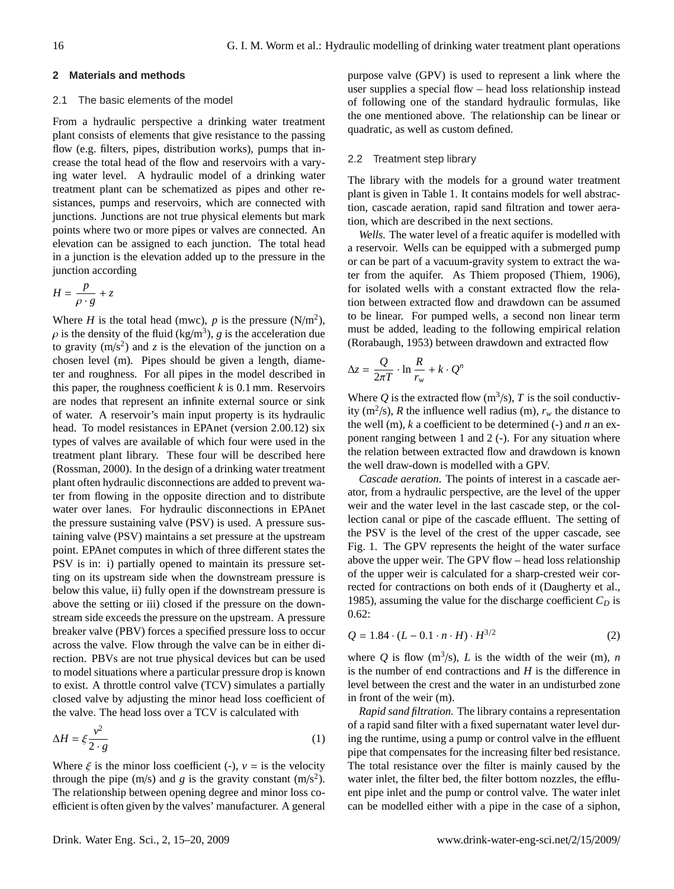## **2 Materials and methods**

#### 2.1 The basic elements of the model

From a hydraulic perspective a drinking water treatment plant consists of elements that give resistance to the passing flow (e.g. filters, pipes, distribution works), pumps that increase the total head of the flow and reservoirs with a varying water level. A hydraulic model of a drinking water treatment plant can be schematized as pipes and other resistances, pumps and reservoirs, which are connected with junctions. Junctions are not true physical elements but mark points where two or more pipes or valves are connected. An elevation can be assigned to each junction. The total head in a junction is the elevation added up to the pressure in the junction according

$$
H = \frac{p}{\rho \cdot g} + z
$$

Where *H* is the total head (mwc), *p* is the pressure  $(N/m^2)$ ,  $\rho$  is the density of the fluid (kg/m<sup>3</sup>), *g* is the acceleration due<br>to gravity (m/s<sup>2</sup>) and z is the elevation of the junction on a to gravity  $(m/s<sup>2</sup>)$  and *z* is the elevation of the junction on a chosen level (m). Pipes should be given a length, diameter and roughness. For all pipes in the model described in this paper, the roughness coefficient  $k$  is 0.1 mm. Reservoirs are nodes that represent an infinite external source or sink of water. A reservoir's main input property is its hydraulic head. To model resistances in EPAnet (version 2.00.12) six types of valves are available of which four were used in the treatment plant library. These four will be described here (Rossman, 2000). In the design of a drinking water treatment plant often hydraulic disconnections are added to prevent water from flowing in the opposite direction and to distribute water over lanes. For hydraulic disconnections in EPAnet the pressure sustaining valve (PSV) is used. A pressure sustaining valve (PSV) maintains a set pressure at the upstream point. EPAnet computes in which of three different states the PSV is in: i) partially opened to maintain its pressure setting on its upstream side when the downstream pressure is below this value, ii) fully open if the downstream pressure is above the setting or iii) closed if the pressure on the downstream side exceeds the pressure on the upstream. A pressure breaker valve (PBV) forces a specified pressure loss to occur across the valve. Flow through the valve can be in either direction. PBVs are not true physical devices but can be used to model situations where a particular pressure drop is known to exist. A throttle control valve (TCV) simulates a partially closed valve by adjusting the minor head loss coefficient of the valve. The head loss over a TCV is calculated with

$$
\Delta H = \xi \frac{v^2}{2 \cdot g} \tag{1}
$$

Where  $\xi$  is the minor loss coefficient (-),  $v =$  is the velocity through the pipe (m/s) and *g* is the gravity constant (m/s<sup>2</sup>). The relationship between opening degree and minor loss coefficient is often given by the valves' manufacturer. A general purpose valve (GPV) is used to represent a link where the user supplies a special flow – head loss relationship instead of following one of the standard hydraulic formulas, like the one mentioned above. The relationship can be linear or quadratic, as well as custom defined.

#### 2.2 Treatment step library

The library with the models for a ground water treatment plant is given in Table 1. It contains models for well abstraction, cascade aeration, rapid sand filtration and tower aeration, which are described in the next sections.

*Wells.* The water level of a freatic aquifer is modelled with a reservoir. Wells can be equipped with a submerged pump or can be part of a vacuum-gravity system to extract the water from the aquifer. As Thiem proposed (Thiem, 1906), for isolated wells with a constant extracted flow the relation between extracted flow and drawdown can be assumed to be linear. For pumped wells, a second non linear term must be added, leading to the following empirical relation (Rorabaugh, 1953) between drawdown and extracted flow

$$
\Delta z = \frac{Q}{2\pi T} \cdot \ln \frac{R}{r_w} + k \cdot Q^n
$$

Where Q is the extracted flow  $(m^3/s)$ , T is the soil conductivity (m<sup>2</sup>/s), *R* the influence well radius (m),  $r_w$  the distance to the well (m), *k* a coefficient to be determined (-) and *n* an exponent ranging between 1 and 2 (-). For any situation where the relation between extracted flow and drawdown is known the well draw-down is modelled with a GPV.

*Cascade aeration*. The points of interest in a cascade aerator, from a hydraulic perspective, are the level of the upper weir and the water level in the last cascade step, or the collection canal or pipe of the cascade effluent. The setting of the PSV is the level of the crest of the upper cascade, see Fig. 1. The GPV represents the height of the water surface above the upper weir. The GPV flow – head loss relationship of the upper weir is calculated for a sharp-crested weir corrected for contractions on both ends of it (Daugherty et al., 1985), assuming the value for the discharge coefficient  $C_D$  is 0.62:

$$
Q = 1.84 \cdot (L - 0.1 \cdot n \cdot H) \cdot H^{3/2}
$$
 (2)

where Q is flow  $(m^3/s)$ , L is the width of the weir (m), *n* is the number of end contractions and *H* is the difference in level between the crest and the water in an undisturbed zone in front of the weir (m).

*Rapid sand filtration.* The library contains a representation of a rapid sand filter with a fixed supernatant water level during the runtime, using a pump or control valve in the effluent pipe that compensates for the increasing filter bed resistance. The total resistance over the filter is mainly caused by the water inlet, the filter bed, the filter bottom nozzles, the effluent pipe inlet and the pump or control valve. The water inlet can be modelled either with a pipe in the case of a siphon,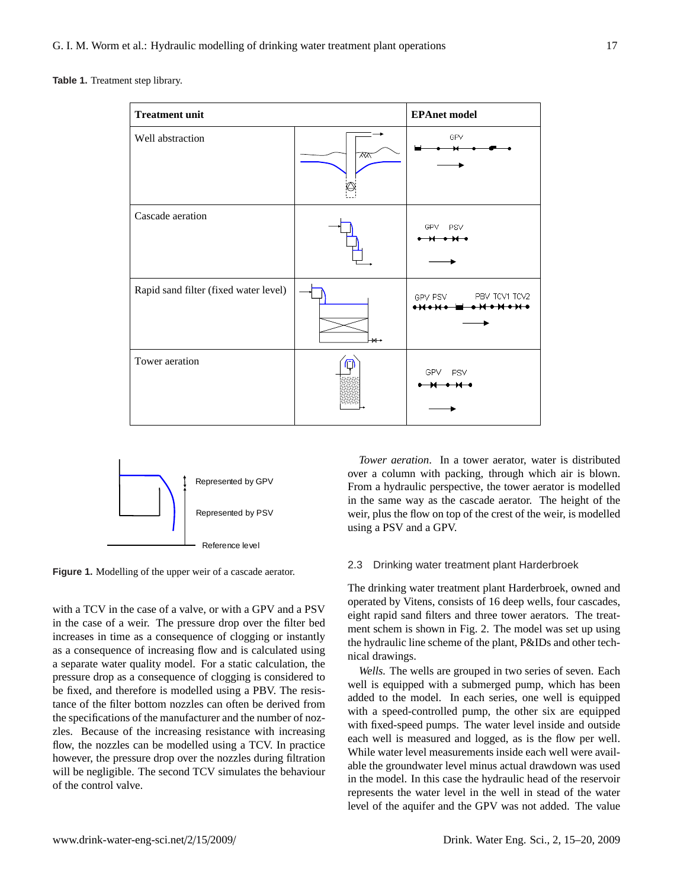Table 1. Treatment step library.

| <b>Treatment unit</b>                 | <b>EPAnet model</b> |                                                               |
|---------------------------------------|---------------------|---------------------------------------------------------------|
| Well abstraction                      | $\overline{X}$      | GPV                                                           |
| Cascade aeration                      |                     | GPV<br><b>PSV</b>                                             |
| Rapid sand filter (fixed water level) | $+$                 | PBV TCV1 TCV2<br>GPV PSV<br>$\leftrightarrow$<br><del>.</del> |
| Tower aeration                        |                     | GPV.<br>PSV                                                   |



**Figure 1.** Modelling of the upper weir of a cascade aerator.

with a TCV in the case of a valve, or with a GPV and a PSV in the case of a weir. The pressure drop over the filter bed increases in time as a consequence of clogging or instantly as a consequence of increasing flow and is calculated using a separate water quality model. For a static calculation, the pressure drop as a consequence of clogging is considered to be fixed, and therefore is modelled using a PBV. The resistance of the filter bottom nozzles can often be derived from the specifications of the manufacturer and the number of nozzles. Because of the increasing resistance with increasing flow, the nozzles can be modelled using a TCV. In practice however, the pressure drop over the nozzles during filtration will be negligible. The second TCV simulates the behaviour of the control valve.

*Tower aeration*. In a tower aerator, water is distributed over a column with packing, through which air is blown. From a hydraulic perspective, the tower aerator is modelled in the same way as the cascade aerator. The height of the weir, plus the flow on top of the crest of the weir, is modelled using a PSV and a GPV.

#### 2.3 Drinking water treatment plant Harderbroek

 $\Gamma$ The drinking water treatment plant Harderbroek, owned and operated by Vitens, consists of 16 deep wells, four cascades, eight rapid sand filters and three tower aerators. The treatment schem is shown in Fig. 2. The model was set up using the hydraulic line scheme of the plant, P&IDs and other technical drawings.

> well is equipped with a submerged pump, which has been *Wells.* The wells are grouped in two series of seven. Each added to the model. In each series, one well is equipped with a speed-controlled pump, the other six are equipped with fixed-speed pumps. The water level inside and outside each well is measured and logged, as is the flow per well. While water level measurements inside each well were available the groundwater level minus actual drawdown was used in the model. In this case the hydraulic head of the reservoir represents the water level in the well in stead of the water level of the aquifer and the GPV was not added. The value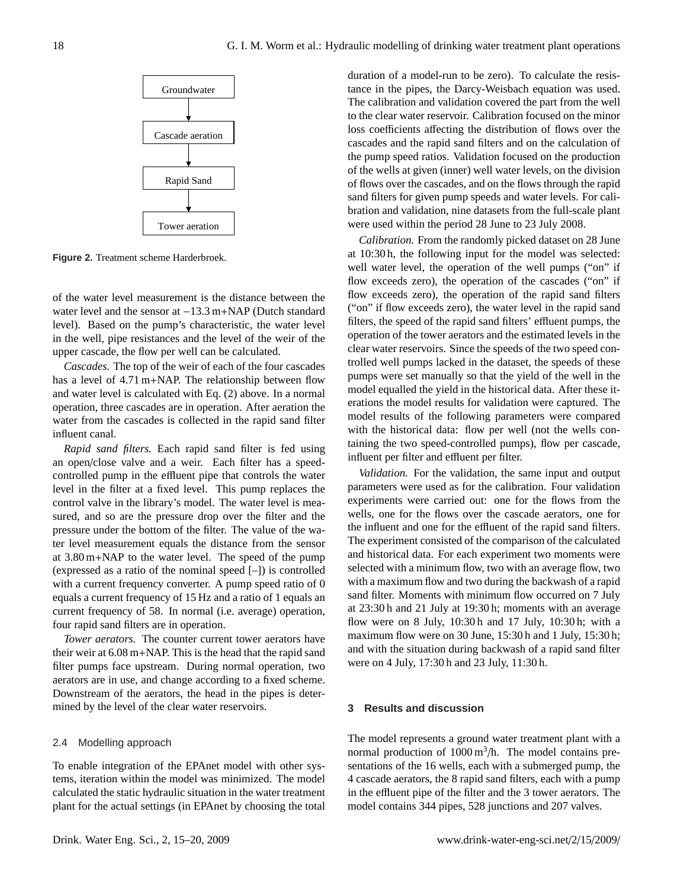

Figure 2. Treatment scheme Harderbroek **Figure 2.** Treatment scheme Harderbroek.

of the water level measurement is the distance between the water level and the sensor at −13.3 m+NAP (Dutch standard level). Based on the pump's characteristic, the water level in the well, pipe resistances and the level of the weir of the upper cascade, the flow per well can be calculated.

*Cascades.* The top of the weir of each of the four cascades has a level of 4.71 m+NAP. The relationship between flow and water level is calculated with Eq. (2) above. In a normal operation, three cascades are in operation. After aeration the water from the cascades is collected in the rapid sand filter influent canal.

*Rapid sand filters.* Each rapid sand filter is fed using an open/close valve and a weir. Each filter has a speedcontrolled pump in the effluent pipe that controls the water level in the filter at a fixed level. This pump replaces the control valve in the library's model. The water level is measured, and so are the pressure drop over the filter and the pressure under the bottom of the filter. The value of the water level measurement equals the distance from the sensor at 3.80 m+NAP to the water level. The speed of the pump (expressed as a ratio of the nominal speed [–]) is controlled with a current frequency converter. A pump speed ratio of 0 equals a current frequency of 15 Hz and a ratio of 1 equals an current frequency of 58. In normal (i.e. average) operation, four rapid sand filters are in operation.

*Tower aerators.* The counter current tower aerators have their weir at 6.08 m+NAP. This is the head that the rapid sand filter pumps face upstream. During normal operation, two aerators are in use, and change according to a fixed scheme. Downstream of the aerators, the head in the pipes is determined by the level of the clear water reservoirs.

#### 2.4 Modelling approach

To enable integration of the EPAnet model with other systems, iteration within the model was minimized. The model calculated the static hydraulic situation in the water treatment plant for the actual settings (in EPAnet by choosing the total duration of a model-run to be zero). To calculate the resistance in the pipes, the Darcy-Weisbach equation was used. The calibration and validation covered the part from the well to the clear water reservoir. Calibration focused on the minor loss coefficients affecting the distribution of flows over the cascades and the rapid sand filters and on the calculation of the pump speed ratios. Validation focused on the production of the wells at given (inner) well water levels, on the division of flows over the cascades, and on the flows through the rapid sand filters for given pump speeds and water levels. For calibration and validation, nine datasets from the full-scale plant were used within the period 28 June to 23 July 2008.

*Calibration.* From the randomly picked dataset on 28 June at 10:30 h, the following input for the model was selected: well water level, the operation of the well pumps ("on" if flow exceeds zero), the operation of the cascades ("on" if flow exceeds zero), the operation of the rapid sand filters ("on" if flow exceeds zero), the water level in the rapid sand filters, the speed of the rapid sand filters' effluent pumps, the operation of the tower aerators and the estimated levels in the clear water reservoirs. Since the speeds of the two speed controlled well pumps lacked in the dataset, the speeds of these pumps were set manually so that the yield of the well in the model equalled the yield in the historical data. After these iterations the model results for validation were captured. The model results of the following parameters were compared with the historical data: flow per well (not the wells containing the two speed-controlled pumps), flow per cascade, influent per filter and effluent per filter.

and with the situation during backwash of a rapid sand filter *Validation.* For the validation, the same input and output parameters were used as for the calibration. Four validation experiments were carried out: one for the flows from the wells, one for the flows over the cascade aerators, one for the influent and one for the effluent of the rapid sand filters. The experiment consisted of the comparison of the calculated and historical data. For each experiment two moments were selected with a minimum flow, two with an average flow, two with a maximum flow and two during the backwash of a rapid sand filter. Moments with minimum flow occurred on 7 July at 23:30 h and 21 July at 19:30 h; moments with an average flow were on 8 July, 10:30 h and 17 July, 10:30 h; with a maximum flow were on 30 June, 15:30 h and 1 July, 15:30 h; were on 4 July, 17:30 h and 23 July, 11:30 h.

#### **3 Results and discussion**

The model represents a ground water treatment plant with a normal production of  $1000 \text{ m}^3/\text{h}$ . The model contains presentations of the 16 wells, each with a submerged pump, the 4 cascade aerators, the 8 rapid sand filters, each with a pump in the effluent pipe of the filter and the 3 tower aerators. The model contains 344 pipes, 528 junctions and 207 valves.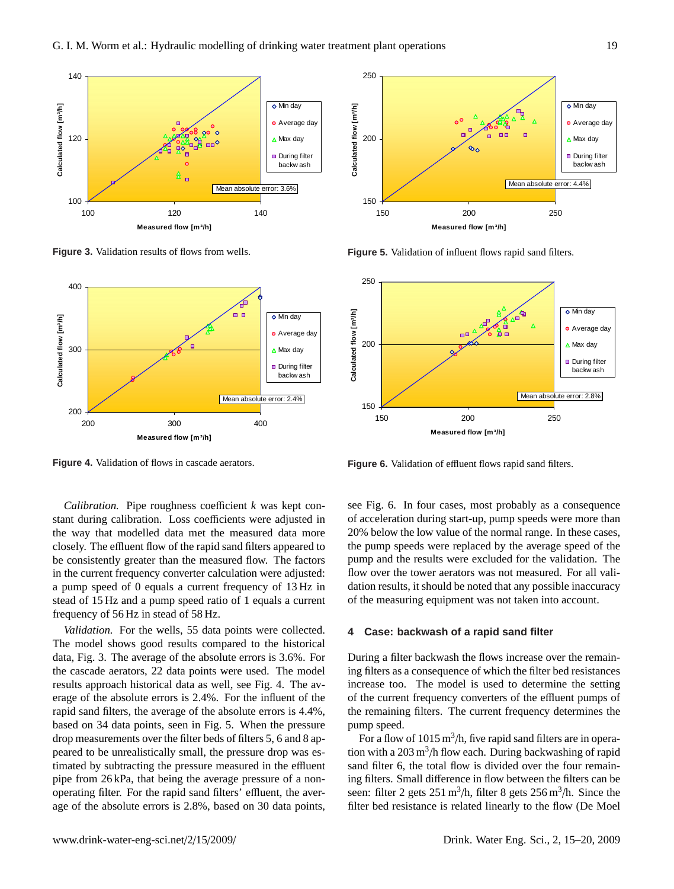

Figure 3. Validation results of flows from wells. **Figure 3.** Validation results of flows from wells.



**Figure 4.** Validation of flows in cascade aerators.

*Calibration.* Pipe roughness coefficient *k* was kept constant during calibration. Loss coefficients were adjusted in the way that modelled data met the measured data more closely. The effluent flow of the rapid sand filters appeared to be consistently greater than the measured flow. The factors in the current frequency converter calculation were adjusted: a pump speed of 0 equals a current frequency of 13 Hz in stead of 15 Hz and a pump speed ratio of 1 equals a current frequency of 56 Hz in stead of 58 Hz.

*Validation.* For the wells, 55 data points were collected. The model shows good results compared to the historical data, Fig. 3. The average of the absolute errors is 3.6%. For the cascade aerators, 22 data points were used. The model results approach historical data as well, see Fig. 4. The average of the absolute errors is 2.4%. For the influent of the rapid sand filters, the average of the absolute errors is 4.4%, based on 34 data points, seen in Fig. 5. When the pressure drop measurements over the filter beds of filters 5, 6 and 8 appeared to be unrealistically small, the pressure drop was estimated by subtracting the pressure measured in the effluent pipe from 26 kPa, that being the average pressure of a nonoperating filter. For the rapid sand filters' effluent, the average of the absolute errors is 2.8%, based on 30 data points,



**Figure 5.** Validation of influent flows rapid sand filters.



Figure 6. Validation of effluent flows rapid sand filters. **Figure 6.** Validation of effluent flows rapid sand filters.

see Fig. 6. In four cases, most probably as a consequence of acceleration during start-up, pump speeds were more than 20% below the low value of the normal range. In these cases, the pump speeds were replaced by the average speed of the pump and the results were excluded for the validation. The flow over the tower aerators was not measured. For all validation results, it should be noted that any possible inaccuracy of the measuring equipment was not taken into account.

#### **4 Case: backwash of a rapid sand filter**

During a filter backwash the flows increase over the remaining filters as a consequence of which the filter bed resistances increase too. The model is used to determine the setting of the current frequency converters of the effluent pumps of the remaining filters. The current frequency determines the pump speed.

For a flow of  $1015 \text{ m}^3/\text{h}$ , five rapid sand filters are in operation with a  $203 \text{ m}^3/\text{h}$  flow each. During backwashing of rapid sand filter 6, the total flow is divided over the four remaining filters. Small difference in flow between the filters can be seen: filter 2 gets  $251 \text{ m}^3/\text{h}$ , filter 8 gets  $256 \text{ m}^3/\text{h}$ . Since the filter bed resistance is related linearly to the flow (De Moel